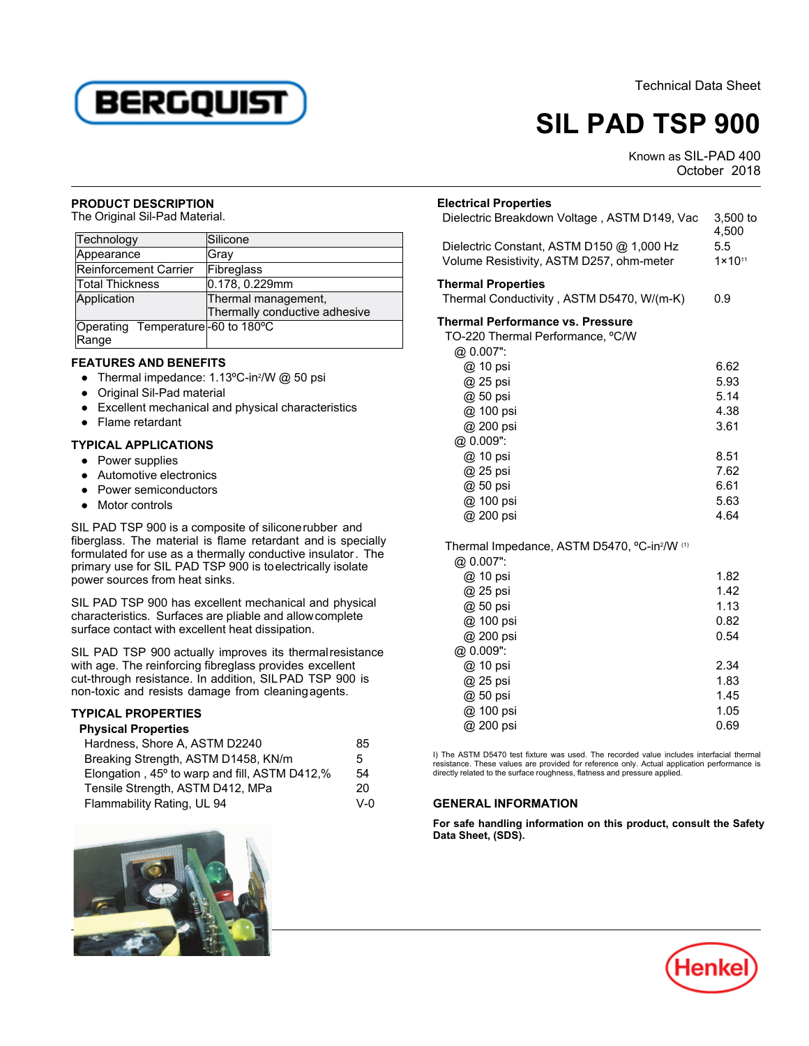Technical Data Sheet



# **SIL PAD TSP 900**

Known as SIL-PAD 400 SOL-17ND-100

#### **PRODUCT DESCRIPTION**

**TROBOOT BESONT TION<br>The Original Sil-Pad Material.** 

| Technology                                 | Silicone                                             |
|--------------------------------------------|------------------------------------------------------|
| Appearance                                 | Gray                                                 |
| <b>Reinforcement Carrier</b>               | Fibreglass                                           |
| Total Thickness                            | 0.178, 0.229mm                                       |
| Application                                | Thermal management,<br>Thermally conductive adhesive |
| Operating Temperature-60 to 180°C<br>Range |                                                      |

## **FEATURES AND BENEFITS**

- $\bullet$  Thermal impedance: 1.13ºC-in<sup>2</sup>M/ $\otimes$  50 psi
- Original Sil-Pad material
- Excellent mechanical and physical characteristics
- Flame retardant

### **TYPICAL APPLICATIONS**

- Power supplies
- Automotive electronics
- Power semiconductors
- Motor controls

SIL PAD TSP 900 is a composite of siliconerubber and fiberglass. The material is flame retardant and is specially formulated for use as a thermally conductive insulator. The primary use for SIL PAD TSP 900 is to electrically isolate power sources from heat sinks.

SIL PAD TSP 900 has excellent mechanical and physical characteristics. Surfaces are pliable and allowcomplete surface contact with excellent heat dissipation.

SIL PAD TSP 900 actually improves its thermalresistance with age. The reinforcing fibreglass provides excellent cut-through resistance. In addition, SILPAD TSP 900 is non-toxic and resists damage from cleaningagents.

## **TYPICAL PROPERTIES Physical Properties**

| Physical Properties                           |     |
|-----------------------------------------------|-----|
| Hardness, Shore A, ASTM D2240                 | 85  |
| Breaking Strength, ASTM D1458, KN/m           | 5.  |
| Elongation, 45° to warp and fill, ASTM D412,% | 54  |
| Tensile Strength, ASTM D412, MPa              | 20  |
| Flammability Rating, UL 94                    | V-0 |



|                                                          | OCLODEL ZUTO |                     |
|----------------------------------------------------------|--------------|---------------------|
| <b>Electrical Properties</b>                             |              |                     |
| Dielectric Breakdown Voltage, ASTM D149, Vac             |              | $3,500$ to<br>4,500 |
| Dielectric Constant, ASTM D150 @ 1,000 Hz                | 5.5          |                     |
| Volume Resistivity, ASTM D257, ohm-meter                 |              | $1 \times 10^{11}$  |
| <b>Thermal Properties</b>                                |              |                     |
| Thermal Conductivity, ASTM D5470, W/(m-K)                | 0.9          |                     |
| <b>Thermal Performance vs. Pressure</b>                  |              |                     |
| TO-220 Thermal Performance, °C/W                         |              |                     |
| @ 0.007":                                                |              |                     |
| @ 10 psi                                                 |              | 6.62                |
| @ 25 psi                                                 |              | 5.93                |
| @ 50 psi                                                 |              | 5.14                |
| @ 100 psi                                                |              | 4.38                |
| @ 200 psi                                                |              | 3.61                |
| @ 0.009":                                                |              |                     |
| @ 10 psi                                                 |              | 8.51                |
| @ 25 psi                                                 |              | 7.62                |
| @ 50 psi                                                 |              | 6.61                |
| @ 100 psi                                                |              | 5.63                |
| @ 200 psi                                                |              | 4.64                |
| Thermal Impedance, ASTM D5470, °C-in <sup>2</sup> /W (1) |              |                     |
| @ 0.007":                                                |              |                     |
| @ 10 psi                                                 |              | 1.82                |
| @ 25 psi                                                 |              | 1.42                |
| @ 50 psi                                                 |              | 1.13                |
| @ 100 psi                                                |              | 0.82                |
| @ 200 psi                                                |              | 0.54                |
| @ 0.009":                                                |              |                     |
| @ 10 psi                                                 |              | 2.34                |
| @ 25 psi                                                 |              | 1.83                |
| @ 50 psi                                                 |              | 1.45                |
| @ 100 psi                                                |              | 1.05                |

I) The ASTM D5470 test fixture was used. The recorded value includes interfacial thermalresistance. These values are provided for reference only. Actual application performance is directly related to the surface roughness, flatness and pressure applied.

@ 200 psi 0.69

#### **GENERAL INFORMATION**

**For safe handling information on this product, consult the Safety Data Sheet, (SDS).**